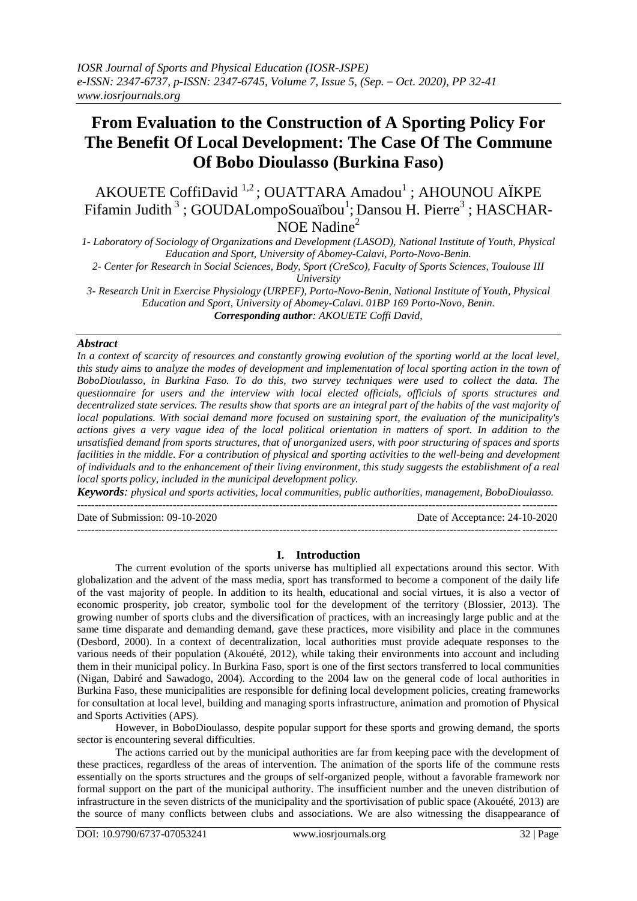# **From Evaluation to the Construction of A Sporting Policy For The Benefit Of Local Development: The Case Of The Commune Of Bobo Dioulasso (Burkina Faso)**

AKOUETE CoffiDavid<sup>1,2</sup>; OUATTARA Amadou<sup>1</sup>; AHOUNOU AÏKPE Fifamin Judith<sup>3</sup>; GOUDALompoSouaïbou<sup>1</sup>; Dansou H. Pierre<sup>3</sup>; HASCHAR- $NOE$  Nadine<sup>2</sup>

*1- Laboratory of Sociology of Organizations and Development (LASOD), National Institute of Youth, Physical Education and Sport, University of Abomey-Calavi, Porto-Novo-Benin. 2- Center for Research in Social Sciences, Body, Sport (CreSco), Faculty of Sports Sciences, Toulouse III University*

*3- Research Unit in Exercise Physiology (URPEF), Porto-Novo-Benin, National Institute of Youth, Physical Education and Sport, University of Abomey-Calavi. 01BP 169 Porto-Novo, Benin. Corresponding author: AKOUETE Coffi David,*

### *Abstract*

*In a context of scarcity of resources and constantly growing evolution of the sporting world at the local level, this study aims to analyze the modes of development and implementation of local sporting action in the town of BoboDioulasso, in Burkina Faso. To do this, two survey techniques were used to collect the data. The questionnaire for users and the interview with local elected officials, officials of sports structures and*  decentralized state services. The results show that sports are an integral part of the habits of the vast majority of *local populations. With social demand more focused on sustaining sport, the evaluation of the municipality's actions gives a very vague idea of the local political orientation in matters of sport. In addition to the unsatisfied demand from sports structures, that of unorganized users, with poor structuring of spaces and sports facilities in the middle. For a contribution of physical and sporting activities to the well-being and development of individuals and to the enhancement of their living environment, this study suggests the establishment of a real local sports policy, included in the municipal development policy.*

*Keywords: physical and sports activities, local communities, public authorities, management, BoboDioulasso.* ---------------------------------------------------------------------------------------------------------------------------------------

Date of Submission: 09-10-2020 Date of Acceptance: 24-10-2020

---------------------------------------------------------------------------------------------------------------------------------------

# **I. Introduction**

The current evolution of the sports universe has multiplied all expectations around this sector. With globalization and the advent of the mass media, sport has transformed to become a component of the daily life of the vast majority of people. In addition to its health, educational and social virtues, it is also a vector of economic prosperity, job creator, symbolic tool for the development of the territory (Blossier, 2013). The growing number of sports clubs and the diversification of practices, with an increasingly large public and at the same time disparate and demanding demand, gave these practices, more visibility and place in the communes (Desbord, 2000). In a context of decentralization, local authorities must provide adequate responses to the various needs of their population (Akouété, 2012), while taking their environments into account and including them in their municipal policy. In Burkina Faso, sport is one of the first sectors transferred to local communities (Nigan, Dabiré and Sawadogo, 2004). According to the 2004 law on the general code of local authorities in Burkina Faso, these municipalities are responsible for defining local development policies, creating frameworks for consultation at local level, building and managing sports infrastructure, animation and promotion of Physical and Sports Activities (APS).

However, in BoboDioulasso, despite popular support for these sports and growing demand, the sports sector is encountering several difficulties.

The actions carried out by the municipal authorities are far from keeping pace with the development of these practices, regardless of the areas of intervention. The animation of the sports life of the commune rests essentially on the sports structures and the groups of self-organized people, without a favorable framework nor formal support on the part of the municipal authority. The insufficient number and the uneven distribution of infrastructure in the seven districts of the municipality and the sportivisation of public space (Akouété, 2013) are the source of many conflicts between clubs and associations. We are also witnessing the disappearance of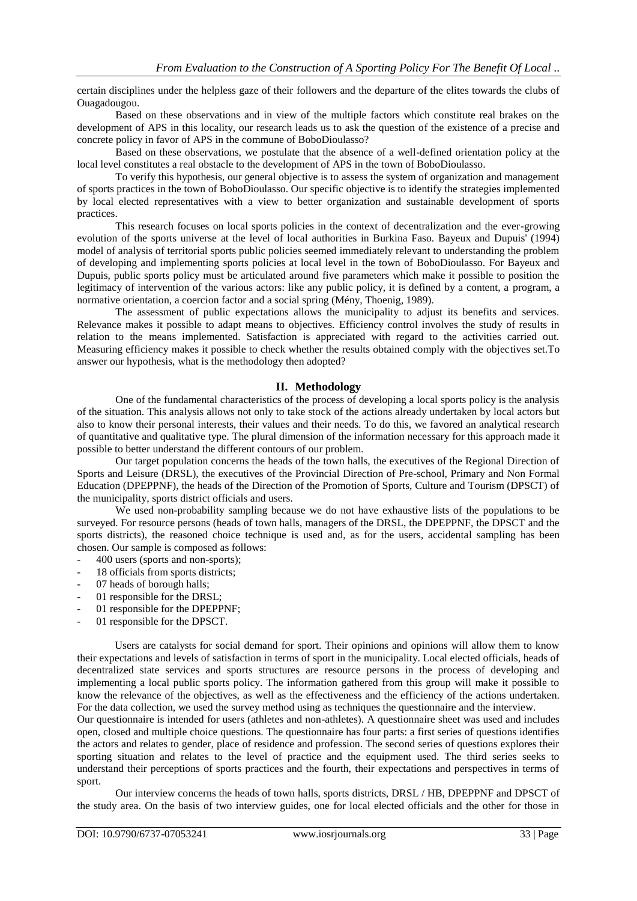certain disciplines under the helpless gaze of their followers and the departure of the elites towards the clubs of Ouagadougou.

Based on these observations and in view of the multiple factors which constitute real brakes on the development of APS in this locality, our research leads us to ask the question of the existence of a precise and concrete policy in favor of APS in the commune of BoboDioulasso?

Based on these observations, we postulate that the absence of a well-defined orientation policy at the local level constitutes a real obstacle to the development of APS in the town of BoboDioulasso.

To verify this hypothesis, our general objective is to assess the system of organization and management of sports practices in the town of BoboDioulasso. Our specific objective is to identify the strategies implemented by local elected representatives with a view to better organization and sustainable development of sports practices.

This research focuses on local sports policies in the context of decentralization and the ever-growing evolution of the sports universe at the level of local authorities in Burkina Faso. Bayeux and Dupuis' (1994) model of analysis of territorial sports public policies seemed immediately relevant to understanding the problem of developing and implementing sports policies at local level in the town of BoboDioulasso. For Bayeux and Dupuis, public sports policy must be articulated around five parameters which make it possible to position the legitimacy of intervention of the various actors: like any public policy, it is defined by a content, a program, a normative orientation, a coercion factor and a social spring (Mény, Thoenig, 1989).

The assessment of public expectations allows the municipality to adjust its benefits and services. Relevance makes it possible to adapt means to objectives. Efficiency control involves the study of results in relation to the means implemented. Satisfaction is appreciated with regard to the activities carried out. Measuring efficiency makes it possible to check whether the results obtained comply with the objectives set.To answer our hypothesis, what is the methodology then adopted?

### **II. Methodology**

One of the fundamental characteristics of the process of developing a local sports policy is the analysis of the situation. This analysis allows not only to take stock of the actions already undertaken by local actors but also to know their personal interests, their values and their needs. To do this, we favored an analytical research of quantitative and qualitative type. The plural dimension of the information necessary for this approach made it possible to better understand the different contours of our problem.

Our target population concerns the heads of the town halls, the executives of the Regional Direction of Sports and Leisure (DRSL), the executives of the Provincial Direction of Pre-school, Primary and Non Formal Education (DPEPPNF), the heads of the Direction of the Promotion of Sports, Culture and Tourism (DPSCT) of the municipality, sports district officials and users.

We used non-probability sampling because we do not have exhaustive lists of the populations to be surveyed. For resource persons (heads of town halls, managers of the DRSL, the DPEPPNF, the DPSCT and the sports districts), the reasoned choice technique is used and, as for the users, accidental sampling has been chosen. Our sample is composed as follows:

- 400 users (sports and non-sports);
- 18 officials from sports districts;
- 07 heads of borough halls;
- 01 responsible for the DRSL;
- 01 responsible for the DPEPPNF;
- 01 responsible for the DPSCT.

Users are catalysts for social demand for sport. Their opinions and opinions will allow them to know their expectations and levels of satisfaction in terms of sport in the municipality. Local elected officials, heads of decentralized state services and sports structures are resource persons in the process of developing and implementing a local public sports policy. The information gathered from this group will make it possible to know the relevance of the objectives, as well as the effectiveness and the efficiency of the actions undertaken. For the data collection, we used the survey method using as techniques the questionnaire and the interview.

Our questionnaire is intended for users (athletes and non-athletes). A questionnaire sheet was used and includes open, closed and multiple choice questions. The questionnaire has four parts: a first series of questions identifies the actors and relates to gender, place of residence and profession. The second series of questions explores their sporting situation and relates to the level of practice and the equipment used. The third series seeks to understand their perceptions of sports practices and the fourth, their expectations and perspectives in terms of sport.

Our interview concerns the heads of town halls, sports districts, DRSL / HB, DPEPPNF and DPSCT of the study area. On the basis of two interview guides, one for local elected officials and the other for those in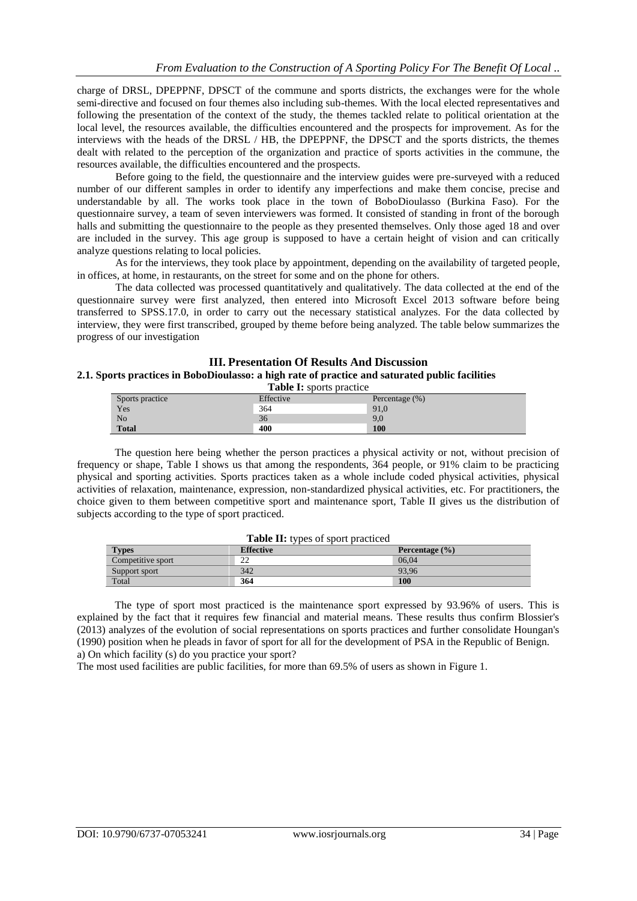charge of DRSL, DPEPPNF, DPSCT of the commune and sports districts, the exchanges were for the whole semi-directive and focused on four themes also including sub-themes. With the local elected representatives and following the presentation of the context of the study, the themes tackled relate to political orientation at the local level, the resources available, the difficulties encountered and the prospects for improvement. As for the interviews with the heads of the DRSL / HB, the DPEPPNF, the DPSCT and the sports districts, the themes dealt with related to the perception of the organization and practice of sports activities in the commune, the resources available, the difficulties encountered and the prospects.

Before going to the field, the questionnaire and the interview guides were pre-surveyed with a reduced number of our different samples in order to identify any imperfections and make them concise, precise and understandable by all. The works took place in the town of BoboDioulasso (Burkina Faso). For the questionnaire survey, a team of seven interviewers was formed. It consisted of standing in front of the borough halls and submitting the questionnaire to the people as they presented themselves. Only those aged 18 and over are included in the survey. This age group is supposed to have a certain height of vision and can critically analyze questions relating to local policies.

As for the interviews, they took place by appointment, depending on the availability of targeted people, in offices, at home, in restaurants, on the street for some and on the phone for others.

The data collected was processed quantitatively and qualitatively. The data collected at the end of the questionnaire survey were first analyzed, then entered into Microsoft Excel 2013 software before being transferred to SPSS.17.0, in order to carry out the necessary statistical analyzes. For the data collected by interview, they were first transcribed, grouped by theme before being analyzed. The table below summarizes the progress of our investigation

#### **III. Presentation Of Results And Discussion 2.1. Sports practices in BoboDioulasso: a high rate of practice and saturated public facilities Table I:** sports practice

| <b>Lable 1.</b> Sports practice |           |                    |  |
|---------------------------------|-----------|--------------------|--|
| Sports practice                 | Effective | Percentage $(\% )$ |  |
| Yes                             | 364       | 91,0               |  |
| N <sub>o</sub>                  | 36        | 9,0                |  |
| <b>Total</b>                    | 400       | 100                |  |

The question here being whether the person practices a physical activity or not, without precision of frequency or shape, Table I shows us that among the respondents, 364 people, or 91% claim to be practicing physical and sporting activities. Sports practices taken as a whole include coded physical activities, physical activities of relaxation, maintenance, expression, non-standardized physical activities, etc. For practitioners, the choice given to them between competitive sport and maintenance sport, Table II gives us the distribution of subjects according to the type of sport practiced.

| <b>Table II:</b> types of sport practiced |                  |                    |  |  |
|-------------------------------------------|------------------|--------------------|--|--|
| <b>Types</b>                              | <b>Effective</b> | Percentage $(\% )$ |  |  |
| Competitive sport                         | າາ               | 06.04              |  |  |
| Support sport                             | 342              | 93.96              |  |  |
| Total                                     | 364              | <b>100</b>         |  |  |

The type of sport most practiced is the maintenance sport expressed by 93.96% of users. This is explained by the fact that it requires few financial and material means. These results thus confirm Blossier's (2013) analyzes of the evolution of social representations on sports practices and further consolidate Houngan's (1990) position when he pleads in favor of sport for all for the development of PSA in the Republic of Benign. a) On which facility (s) do you practice your sport?

The most used facilities are public facilities, for more than 69.5% of users as shown in Figure 1.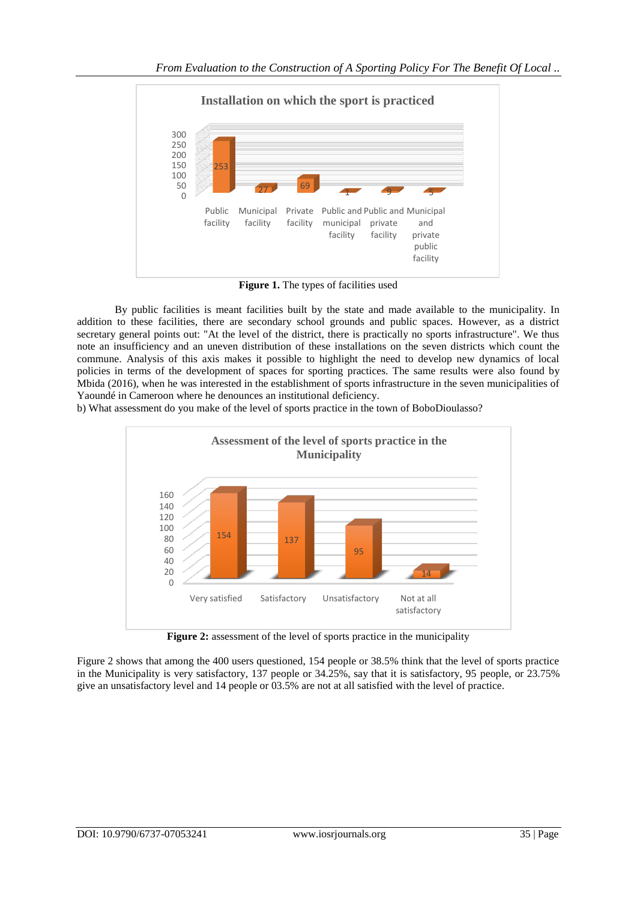

**Figure 1.** The types of facilities used

By public facilities is meant facilities built by the state and made available to the municipality. In addition to these facilities, there are secondary school grounds and public spaces. However, as a district secretary general points out: "At the level of the district, there is practically no sports infrastructure". We thus note an insufficiency and an uneven distribution of these installations on the seven districts which count the commune. Analysis of this axis makes it possible to highlight the need to develop new dynamics of local policies in terms of the development of spaces for sporting practices. The same results were also found by Mbida (2016), when he was interested in the establishment of sports infrastructure in the seven municipalities of Yaoundé in Cameroon where he denounces an institutional deficiency.

b) What assessment do you make of the level of sports practice in the town of BoboDioulasso?



**Figure 2:** assessment of the level of sports practice in the municipality

Figure 2 shows that among the 400 users questioned, 154 people or 38.5% think that the level of sports practice in the Municipality is very satisfactory, 137 people or 34.25%, say that it is satisfactory, 95 people, or 23.75% give an unsatisfactory level and 14 people or 03.5% are not at all satisfied with the level of practice.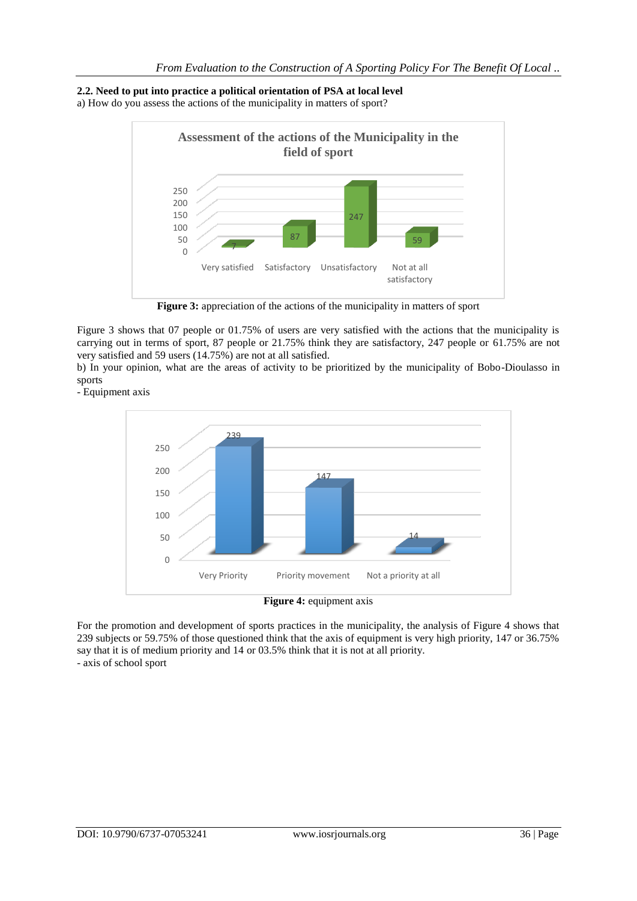# **2.2. Need to put into practice a political orientation of PSA at local level**

a) How do you assess the actions of the municipality in matters of sport?



**Figure 3:** appreciation of the actions of the municipality in matters of sport

Figure 3 shows that 07 people or 01.75% of users are very satisfied with the actions that the municipality is carrying out in terms of sport, 87 people or 21.75% think they are satisfactory, 247 people or 61.75% are not very satisfied and 59 users (14.75%) are not at all satisfied.

b) In your opinion, what are the areas of activity to be prioritized by the municipality of Bobo-Dioulasso in sports

- Equipment axis



For the promotion and development of sports practices in the municipality, the analysis of Figure 4 shows that 239 subjects or 59.75% of those questioned think that the axis of equipment is very high priority, 147 or 36.75% say that it is of medium priority and 14 or 03.5% think that it is not at all priority. - axis of school sport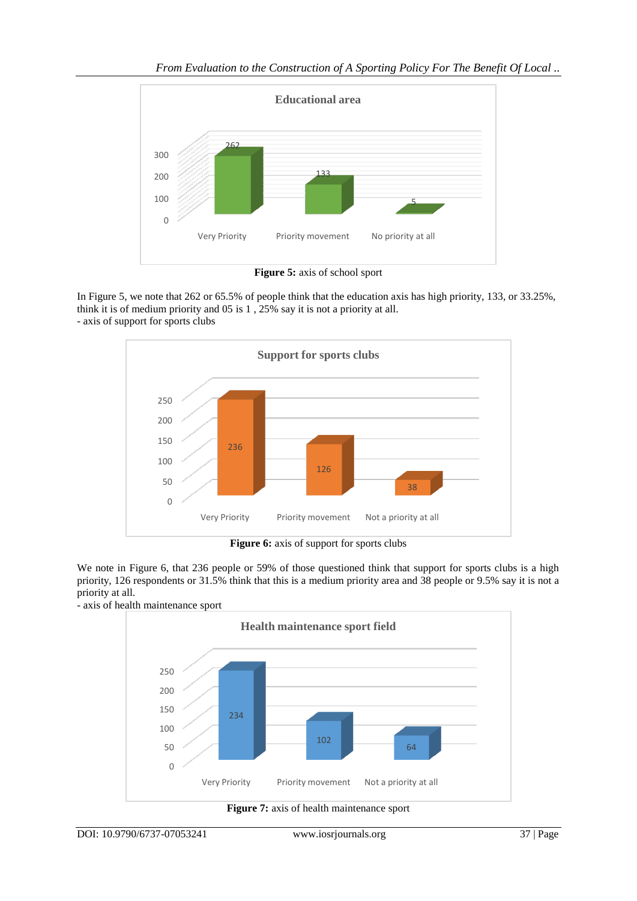

**Figure 5:** axis of school sport

In Figure 5, we note that 262 or 65.5% of people think that the education axis has high priority, 133, or 33.25%, think it is of medium priority and 05 is 1 , 25% say it is not a priority at all. - axis of support for sports clubs



**Figure 6:** axis of support for sports clubs

We note in Figure 6, that 236 people or 59% of those questioned think that support for sports clubs is a high priority, 126 respondents or 31.5% think that this is a medium priority area and 38 people or 9.5% say it is not a priority at all.



- axis of health maintenance sport

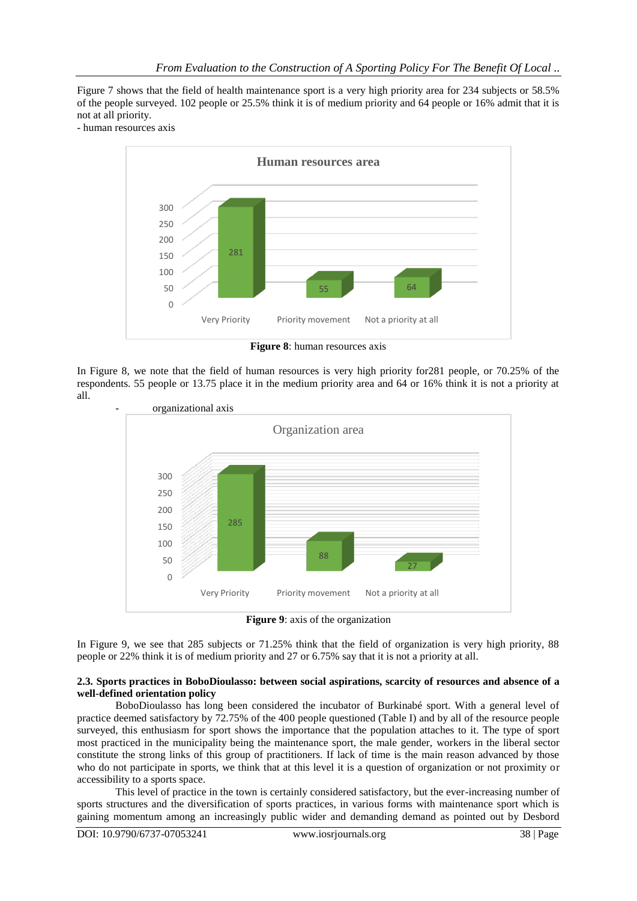Figure 7 shows that the field of health maintenance sport is a very high priority area for 234 subjects or 58.5% of the people surveyed. 102 people or 25.5% think it is of medium priority and 64 people or 16% admit that it is not at all priority.

- human resources axis



**Figure 8**: human resources axis

In Figure 8, we note that the field of human resources is very high priority for281 people, or 70.25% of the respondents. 55 people or 13.75 place it in the medium priority area and 64 or 16% think it is not a priority at all.



**Figure 9**: axis of the organization

In Figure 9, we see that 285 subjects or 71.25% think that the field of organization is very high priority, 88 people or 22% think it is of medium priority and 27 or 6.75% say that it is not a priority at all.

### **2.3. Sports practices in BoboDioulasso: between social aspirations, scarcity of resources and absence of a well-defined orientation policy**

BoboDioulasso has long been considered the incubator of Burkinabé sport. With a general level of practice deemed satisfactory by 72.75% of the 400 people questioned (Table I) and by all of the resource people surveyed, this enthusiasm for sport shows the importance that the population attaches to it. The type of sport most practiced in the municipality being the maintenance sport, the male gender, workers in the liberal sector constitute the strong links of this group of practitioners. If lack of time is the main reason advanced by those who do not participate in sports, we think that at this level it is a question of organization or not proximity or accessibility to a sports space.

This level of practice in the town is certainly considered satisfactory, but the ever-increasing number of sports structures and the diversification of sports practices, in various forms with maintenance sport which is gaining momentum among an increasingly public wider and demanding demand as pointed out by Desbord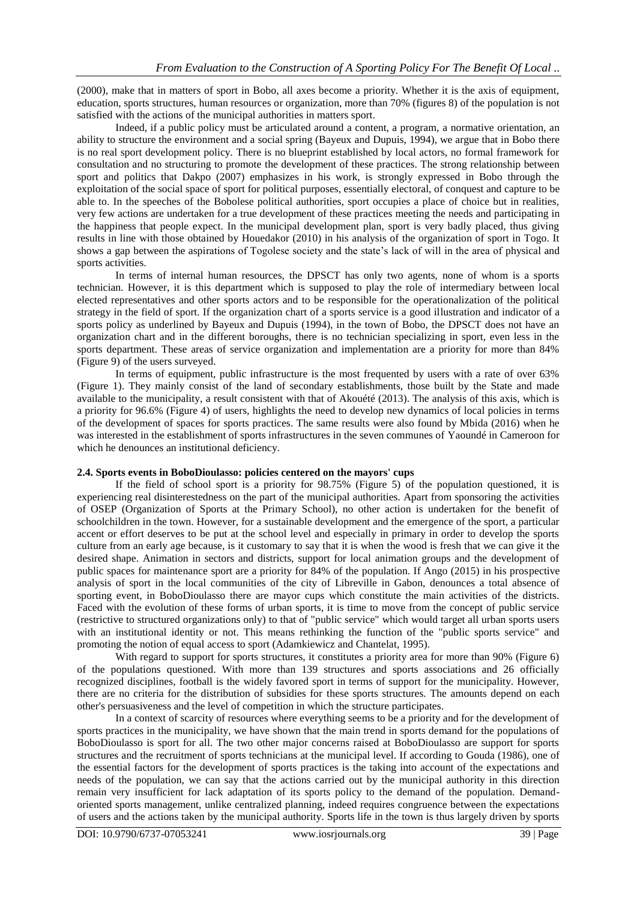(2000), make that in matters of sport in Bobo, all axes become a priority. Whether it is the axis of equipment, education, sports structures, human resources or organization, more than 70% (figures 8) of the population is not satisfied with the actions of the municipal authorities in matters sport.

Indeed, if a public policy must be articulated around a content, a program, a normative orientation, an ability to structure the environment and a social spring (Bayeux and Dupuis, 1994), we argue that in Bobo there is no real sport development policy. There is no blueprint established by local actors, no formal framework for consultation and no structuring to promote the development of these practices. The strong relationship between sport and politics that Dakpo (2007) emphasizes in his work, is strongly expressed in Bobo through the exploitation of the social space of sport for political purposes, essentially electoral, of conquest and capture to be able to. In the speeches of the Bobolese political authorities, sport occupies a place of choice but in realities, very few actions are undertaken for a true development of these practices meeting the needs and participating in the happiness that people expect. In the municipal development plan, sport is very badly placed, thus giving results in line with those obtained by Houedakor (2010) in his analysis of the organization of sport in Togo. It shows a gap between the aspirations of Togolese society and the state's lack of will in the area of physical and sports activities.

In terms of internal human resources, the DPSCT has only two agents, none of whom is a sports technician. However, it is this department which is supposed to play the role of intermediary between local elected representatives and other sports actors and to be responsible for the operationalization of the political strategy in the field of sport. If the organization chart of a sports service is a good illustration and indicator of a sports policy as underlined by Bayeux and Dupuis (1994), in the town of Bobo, the DPSCT does not have an organization chart and in the different boroughs, there is no technician specializing in sport, even less in the sports department. These areas of service organization and implementation are a priority for more than 84% (Figure 9) of the users surveyed.

In terms of equipment, public infrastructure is the most frequented by users with a rate of over 63% (Figure 1). They mainly consist of the land of secondary establishments, those built by the State and made available to the municipality, a result consistent with that of Akouété (2013). The analysis of this axis, which is a priority for 96.6% (Figure 4) of users, highlights the need to develop new dynamics of local policies in terms of the development of spaces for sports practices. The same results were also found by Mbida (2016) when he was interested in the establishment of sports infrastructures in the seven communes of Yaoundé in Cameroon for which he denounces an institutional deficiency.

# **2.4. Sports events in BoboDioulasso: policies centered on the mayors' cups**

If the field of school sport is a priority for 98.75% (Figure 5) of the population questioned, it is experiencing real disinterestedness on the part of the municipal authorities. Apart from sponsoring the activities of OSEP (Organization of Sports at the Primary School), no other action is undertaken for the benefit of schoolchildren in the town. However, for a sustainable development and the emergence of the sport, a particular accent or effort deserves to be put at the school level and especially in primary in order to develop the sports culture from an early age because, is it customary to say that it is when the wood is fresh that we can give it the desired shape. Animation in sectors and districts, support for local animation groups and the development of public spaces for maintenance sport are a priority for 84% of the population. If Ango (2015) in his prospective analysis of sport in the local communities of the city of Libreville in Gabon, denounces a total absence of sporting event, in BoboDioulasso there are mayor cups which constitute the main activities of the districts. Faced with the evolution of these forms of urban sports, it is time to move from the concept of public service (restrictive to structured organizations only) to that of "public service" which would target all urban sports users with an institutional identity or not. This means rethinking the function of the "public sports service" and promoting the notion of equal access to sport (Adamkiewicz and Chantelat, 1995).

With regard to support for sports structures, it constitutes a priority area for more than 90% (Figure 6) of the populations questioned. With more than 139 structures and sports associations and 26 officially recognized disciplines, football is the widely favored sport in terms of support for the municipality. However, there are no criteria for the distribution of subsidies for these sports structures. The amounts depend on each other's persuasiveness and the level of competition in which the structure participates.

In a context of scarcity of resources where everything seems to be a priority and for the development of sports practices in the municipality, we have shown that the main trend in sports demand for the populations of BoboDioulasso is sport for all. The two other major concerns raised at BoboDioulasso are support for sports structures and the recruitment of sports technicians at the municipal level. If according to Gouda (1986), one of the essential factors for the development of sports practices is the taking into account of the expectations and needs of the population, we can say that the actions carried out by the municipal authority in this direction remain very insufficient for lack adaptation of its sports policy to the demand of the population. Demandoriented sports management, unlike centralized planning, indeed requires congruence between the expectations of users and the actions taken by the municipal authority. Sports life in the town is thus largely driven by sports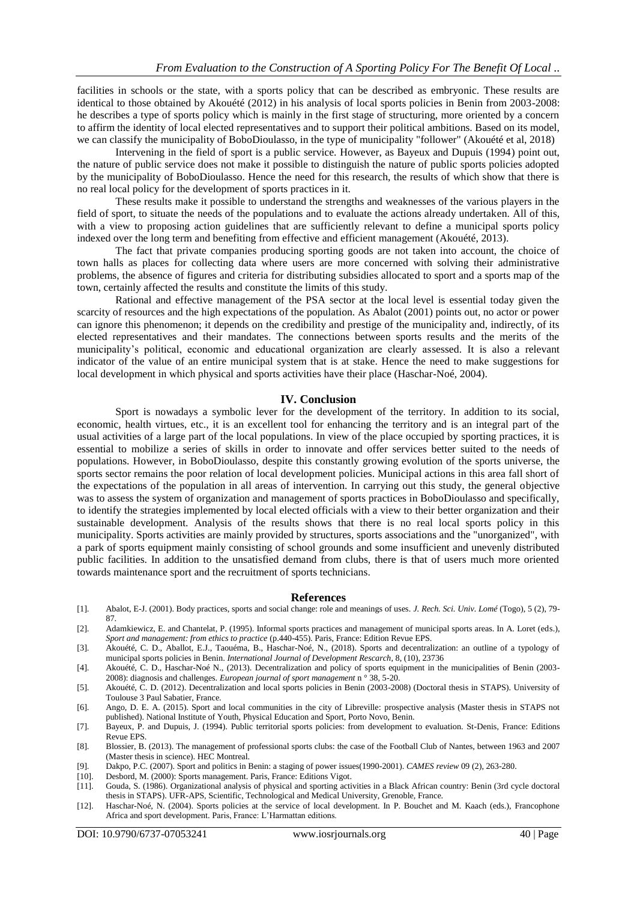facilities in schools or the state, with a sports policy that can be described as embryonic. These results are identical to those obtained by Akouété (2012) in his analysis of local sports policies in Benin from 2003-2008: he describes a type of sports policy which is mainly in the first stage of structuring, more oriented by a concern to affirm the identity of local elected representatives and to support their political ambitions. Based on its model, we can classify the municipality of BoboDioulasso, in the type of municipality "follower" (Akouété et al, 2018)

Intervening in the field of sport is a public service. However, as Bayeux and Dupuis (1994) point out, the nature of public service does not make it possible to distinguish the nature of public sports policies adopted by the municipality of BoboDioulasso. Hence the need for this research, the results of which show that there is no real local policy for the development of sports practices in it.

These results make it possible to understand the strengths and weaknesses of the various players in the field of sport, to situate the needs of the populations and to evaluate the actions already undertaken. All of this, with a view to proposing action guidelines that are sufficiently relevant to define a municipal sports policy indexed over the long term and benefiting from effective and efficient management (Akouété, 2013).

The fact that private companies producing sporting goods are not taken into account, the choice of town halls as places for collecting data where users are more concerned with solving their administrative problems, the absence of figures and criteria for distributing subsidies allocated to sport and a sports map of the town, certainly affected the results and constitute the limits of this study.

Rational and effective management of the PSA sector at the local level is essential today given the scarcity of resources and the high expectations of the population. As Abalot (2001) points out, no actor or power can ignore this phenomenon; it depends on the credibility and prestige of the municipality and, indirectly, of its elected representatives and their mandates. The connections between sports results and the merits of the municipality's political, economic and educational organization are clearly assessed. It is also a relevant indicator of the value of an entire municipal system that is at stake. Hence the need to make suggestions for local development in which physical and sports activities have their place (Haschar-Noé, 2004).

### **IV. Conclusion**

Sport is nowadays a symbolic lever for the development of the territory. In addition to its social, economic, health virtues, etc., it is an excellent tool for enhancing the territory and is an integral part of the usual activities of a large part of the local populations. In view of the place occupied by sporting practices, it is essential to mobilize a series of skills in order to innovate and offer services better suited to the needs of populations. However, in BoboDioulasso, despite this constantly growing evolution of the sports universe, the sports sector remains the poor relation of local development policies. Municipal actions in this area fall short of the expectations of the population in all areas of intervention. In carrying out this study, the general objective was to assess the system of organization and management of sports practices in BoboDioulasso and specifically, to identify the strategies implemented by local elected officials with a view to their better organization and their sustainable development. Analysis of the results shows that there is no real local sports policy in this municipality. Sports activities are mainly provided by structures, sports associations and the "unorganized", with a park of sports equipment mainly consisting of school grounds and some insufficient and unevenly distributed public facilities. In addition to the unsatisfied demand from clubs, there is that of users much more oriented towards maintenance sport and the recruitment of sports technicians.

### **References**

- [1]. Abalot, E-J. (2001). Body practices, sports and social change: role and meanings of uses. *J. Rech. Sci. Univ. Lomé* (Togo), 5 (2), 79- 87.
- [2]. Adamkiewicz, E. and Chantelat, P. (1995). Informal sports practices and management of municipal sports areas. In A. Loret (eds.), *Sport and management: from ethics to practice* (p.440-455). Paris, France: Edition Revue EPS.
- [3]. Akouété, C. D., Aballot, E.J., Taouéma, B., Haschar-Noé, N., (2018). Sports and decentralization: an outline of a typology of municipal sports policies in Benin. *International Journal of Development Rescarch*, 8, (10), 23736
- [4]. Akouété, C. D., Haschar-Noé N., (2013). Decentralization and policy of sports equipment in the municipalities of Benin (2003- 2008): diagnosis and challenges. *European journal of sport management* n ° 38, 5-20.
- [5]. Akouété, C. D. (2012). Decentralization and local sports policies in Benin (2003-2008) (Doctoral thesis in STAPS). University of Toulouse 3 Paul Sabatier, France.
- [6]. Ango, D. E. A. (2015). Sport and local communities in the city of Libreville: prospective analysis (Master thesis in STAPS not published). National Institute of Youth, Physical Education and Sport, Porto Novo, Benin.
- [7]. Bayeux, P. and Dupuis, J. (1994). Public territorial sports policies: from development to evaluation. St-Denis, France: Editions Revue EPS.
- [8]. Blossier, B. (2013). The management of professional sports clubs: the case of the Football Club of Nantes, between 1963 and 2007 (Master thesis in science). HEC Montreal.
- [9]. Dakpo, P.C. (2007). Sport and politics in Benin: a staging of power issues(1990-2001). *CAMES review* 09 (2), 263-280.
- Desbord, M. (2000): Sports management. Paris, France: Editions Vigot.
- [11]. Gouda, S. (1986). Organizational analysis of physical and sporting activities in a Black African country: Benin (3rd cycle doctoral thesis in STAPS). UFR-APS, Scientific, Technological and Medical University, Grenoble, France.
- [12]. Haschar-Noé, N. (2004). Sports policies at the service of local development. In P. Bouchet and M. Kaach (eds.), Francophone Africa and sport development. Paris, France: L'Harmattan editions.